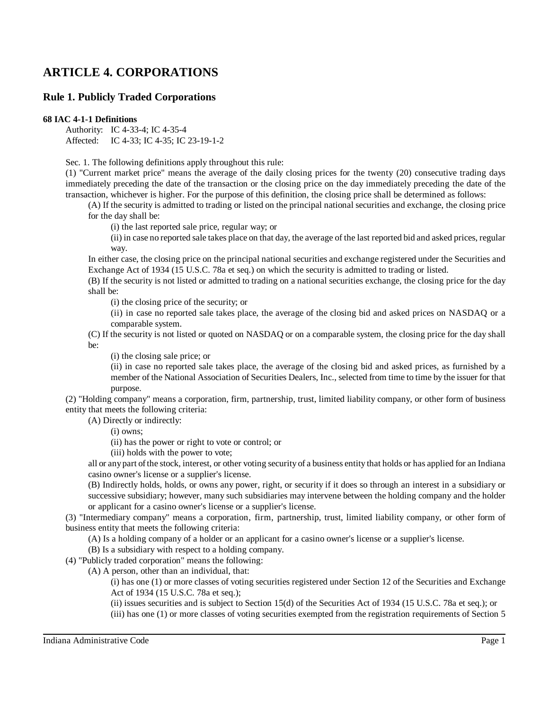# **ARTICLE 4. CORPORATIONS**

## **Rule 1. Publicly Traded Corporations**

## **68 IAC 4-1-1 Definitions**

Authority: IC 4-33-4; IC 4-35-4 Affected: IC 4-33; IC 4-35; IC 23-19-1-2

Sec. 1. The following definitions apply throughout this rule:

(1) "Current market price" means the average of the daily closing prices for the twenty (20) consecutive trading days immediately preceding the date of the transaction or the closing price on the day immediately preceding the date of the transaction, whichever is higher. For the purpose of this definition, the closing price shall be determined as follows:

(A) If the security is admitted to trading or listed on the principal national securities and exchange, the closing price for the day shall be:

(i) the last reported sale price, regular way; or

(ii) in case no reported sale takes place on that day, the average of the last reported bid and asked prices, regular way.

In either case, the closing price on the principal national securities and exchange registered under the Securities and Exchange Act of 1934 (15 U.S.C. 78a et seq.) on which the security is admitted to trading or listed.

(B) If the security is not listed or admitted to trading on a national securities exchange, the closing price for the day shall be:

(i) the closing price of the security; or

(ii) in case no reported sale takes place, the average of the closing bid and asked prices on NASDAQ or a comparable system.

(C) If the security is not listed or quoted on NASDAQ or on a comparable system, the closing price for the day shall be:

(i) the closing sale price; or

(ii) in case no reported sale takes place, the average of the closing bid and asked prices, as furnished by a member of the National Association of Securities Dealers, Inc., selected from time to time by the issuer for that purpose.

(2) "Holding company" means a corporation, firm, partnership, trust, limited liability company, or other form of business entity that meets the following criteria:

(A) Directly or indirectly:

(i) owns;

(ii) has the power or right to vote or control; or

(iii) holds with the power to vote;

all or anypart ofthe stock, interest, or other voting security of a business entity that holds or has applied for an Indiana casino owner's license or a supplier's license.

(B) Indirectly holds, holds, or owns any power, right, or security if it does so through an interest in a subsidiary or successive subsidiary; however, many such subsidiaries may intervene between the holding company and the holder or applicant for a casino owner's license or a supplier's license.

(3) "Intermediary company" means a corporation, firm, partnership, trust, limited liability company, or other form of business entity that meets the following criteria:

(A) Is a holding company of a holder or an applicant for a casino owner's license or a supplier's license.

(B) Is a subsidiary with respect to a holding company.

(4) "Publicly traded corporation" means the following:

(A) A person, other than an individual, that:

(i) has one (1) or more classes of voting securities registered under Section 12 of the Securities and Exchange Act of 1934 (15 U.S.C. 78a et seq.);

(ii) issues securities and is subject to Section 15(d) of the Securities Act of 1934 (15 U.S.C. 78a et seq.); or

(iii) has one (1) or more classes of voting securities exempted from the registration requirements of Section 5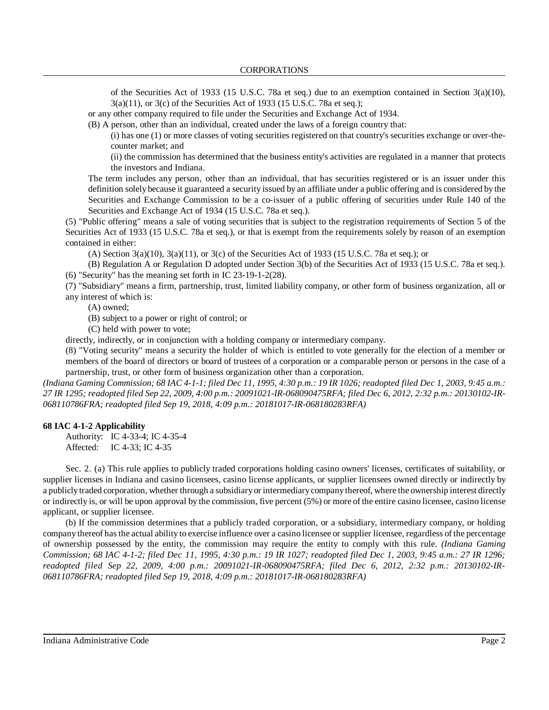of the Securities Act of 1933 (15 U.S.C. 78a et seq.) due to an exemption contained in Section 3(a)(10), 3(a)(11), or 3(c) of the Securities Act of 1933 (15 U.S.C. 78a et seq.);

or any other company required to file under the Securities and Exchange Act of 1934.

(B) A person, other than an individual, created under the laws of a foreign country that:

(i) has one (1) or more classes of voting securities registered on that country's securities exchange or over-thecounter market; and

(ii) the commission has determined that the business entity's activities are regulated in a manner that protects the investors and Indiana.

The term includes any person, other than an individual, that has securities registered or is an issuer under this definition solely because it guaranteed a security issued by an affiliate under a public offering and is considered by the Securities and Exchange Commission to be a co-issuer of a public offering of securities under Rule 140 of the Securities and Exchange Act of 1934 (15 U.S.C. 78a et seq.).

(5) "Public offering" means a sale of voting securities that is subject to the registration requirements of Section 5 of the Securities Act of 1933 (15 U.S.C. 78a et seq.), or that is exempt from the requirements solely by reason of an exemption contained in either:

(A) Section  $3(a)(10)$ ,  $3(a)(11)$ , or  $3(c)$  of the Securities Act of 1933 (15 U.S.C. 78a et seq.); or

(B) Regulation A or Regulation D adopted under Section 3(b) of the Securities Act of 1933 (15 U.S.C. 78a et seq.). (6) "Security" has the meaning set forth in IC 23-19-1-2(28).

(7) "Subsidiary" means a firm, partnership, trust, limited liability company, or other form of business organization, all or any interest of which is:

(A) owned;

(B) subject to a power or right of control; or

(C) held with power to vote;

directly, indirectly, or in conjunction with a holding company or intermediary company.

(8) "Voting security" means a security the holder of which is entitled to vote generally for the election of a member or members of the board of directors or board of trustees of a corporation or a comparable person or persons in the case of a partnership, trust, or other form of business organization other than a corporation.

(Indiana Gaming Commission; 68 IAC 4-1-1; filed Dec 11, 1995, 4:30 p.m.: 19 IR 1026; readopted filed Dec 1, 2003, 9:45 a.m.: 27 IR 1295; readopted filed Sep 22, 2009, 4:00 p.m.: 20091021-IR-068090475RFA; filed Dec 6, 2012, 2:32 p.m.: 20130102-IR-*068110786FRA; readopted filed Sep 19, 2018, 4:09 p.m.: 20181017-IR-068180283RFA)*

## **68 IAC 4-1-2 Applicability**

Authority: IC 4-33-4; IC 4-35-4 Affected: IC 4-33; IC 4-35

Sec. 2. (a) This rule applies to publicly traded corporations holding casino owners' licenses, certificates of suitability, or supplier licenses in Indiana and casino licensees, casino license applicants, or supplier licensees owned directly or indirectly by a publiclytraded corporation, whether through a subsidiaryor intermediarycompanythereof, where the ownership interest directly or indirectly is, or will be upon approval by the commission, five percent (5%) or more of the entire casino licensee, casino license applicant, or supplier licensee.

(b) If the commission determines that a publicly traded corporation, or a subsidiary, intermediary company, or holding company thereof hasthe actual ability to exercise influence over a casino licensee or supplier licensee, regardless of the percentage of ownership possessed by the entity, the commission may require the entity to comply with this rule. *(Indiana Gaming Commission; 68 IAC 4-1-2; filed Dec 11, 1995, 4:30 p.m.: 19 IR 1027; readopted filed Dec 1, 2003, 9:45 a.m.: 27 IR 1296; readopted filed Sep 22, 2009, 4:00 p.m.: 20091021-IR-068090475RFA; filed Dec 6, 2012, 2:32 p.m.: 20130102-IR-068110786FRA; readopted filed Sep 19, 2018, 4:09 p.m.: 20181017-IR-068180283RFA)*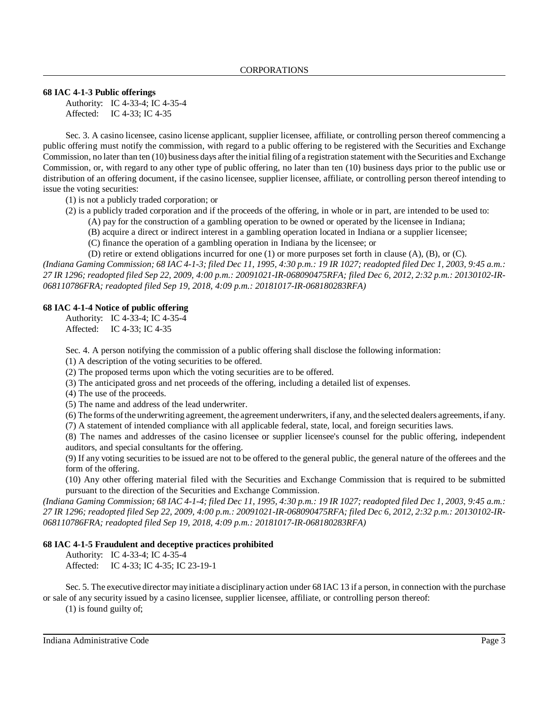### **68 IAC 4-1-3 Public offerings**

Authority: IC 4-33-4; IC 4-35-4 Affected: IC 4-33; IC 4-35

Sec. 3. A casino licensee, casino license applicant, supplier licensee, affiliate, or controlling person thereof commencing a public offering must notify the commission, with regard to a public offering to be registered with the Securities and Exchange Commission, no later than ten (10) business days after the initial filing of a registration statement with the Securities and Exchange Commission, or, with regard to any other type of public offering, no later than ten (10) business days prior to the public use or distribution of an offering document, if the casino licensee, supplier licensee, affiliate, or controlling person thereof intending to issue the voting securities:

(1) is not a publicly traded corporation; or

(2) is a publicly traded corporation and if the proceeds of the offering, in whole or in part, are intended to be used to:

- (A) pay for the construction of a gambling operation to be owned or operated by the licensee in Indiana;
- (B) acquire a direct or indirect interest in a gambling operation located in Indiana or a supplier licensee;
- (C) finance the operation of a gambling operation in Indiana by the licensee; or

(D) retire or extend obligations incurred for one (1) or more purposes set forth in clause (A), (B), or (C). (Indiana Gaming Commission; 68 IAC 4-1-3; filed Dec 11, 1995, 4:30 p.m.: 19 IR 1027; readopted filed Dec 1, 2003, 9:45 a.m.: 27 IR 1296; readopted filed Sep 22, 2009, 4:00 p.m.: 20091021-IR-068090475RFA; filed Dec 6, 2012, 2:32 p.m.: 20130102-IR-*068110786FRA; readopted filed Sep 19, 2018, 4:09 p.m.: 20181017-IR-068180283RFA)*

#### **68 IAC 4-1-4 Notice of public offering**

Authority: IC 4-33-4; IC 4-35-4 Affected: IC 4-33; IC 4-35

Sec. 4. A person notifying the commission of a public offering shall disclose the following information:

(1) A description of the voting securities to be offered.

(2) The proposed terms upon which the voting securities are to be offered.

(3) The anticipated gross and net proceeds of the offering, including a detailed list of expenses.

(4) The use of the proceeds.

(5) The name and address of the lead underwriter.

(6) The forms ofthe underwriting agreement, the agreement underwriters, if any, and the selected dealers agreements, if any.

(7) A statement of intended compliance with all applicable federal, state, local, and foreign securities laws.

(8) The names and addresses of the casino licensee or supplier licensee's counsel for the public offering, independent auditors, and special consultants for the offering.

(9) If any voting securities to be issued are not to be offered to the general public, the general nature of the offerees and the form of the offering.

(10) Any other offering material filed with the Securities and Exchange Commission that is required to be submitted pursuant to the direction of the Securities and Exchange Commission.

(Indiana Gaming Commission; 68 IAC 4-1-4; filed Dec 11, 1995, 4:30 p.m.: 19 IR 1027; readopted filed Dec 1, 2003, 9:45 a.m.: 27 IR 1296; readopted filed Sep 22, 2009, 4:00 p.m.: 20091021-IR-068090475RFA; filed Dec 6, 2012, 2:32 p.m.: 20130102-IR-*068110786FRA; readopted filed Sep 19, 2018, 4:09 p.m.: 20181017-IR-068180283RFA)*

## **68 IAC 4-1-5 Fraudulent and deceptive practices prohibited**

Authority: IC 4-33-4; IC 4-35-4

Affected: IC 4-33; IC 4-35; IC 23-19-1

Sec. 5. The executive director mayinitiate a disciplinaryaction under 68 IAC 13 if a person, in connection with the purchase or sale of any security issued by a casino licensee, supplier licensee, affiliate, or controlling person thereof:

(1) is found guilty of;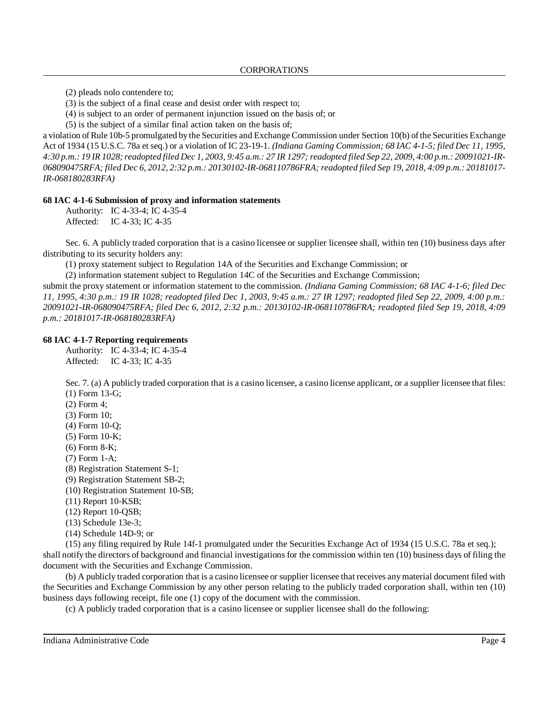(2) pleads nolo contendere to;

(3) is the subject of a final cease and desist order with respect to;

(4) is subject to an order of permanent injunction issued on the basis of; or

(5) is the subject of a similar final action taken on the basis of;

a violation ofRule 10b-5 promulgated by the Securities and Exchange Commission under Section 10(b) ofthe Securities Exchange Act of 1934 (15 U.S.C. 78a et seq.) or a violation of IC 23-19-1. *(Indiana Gaming Commission; 68 IAC 4-1-5; filed Dec 11, 1995,* 4:30 p.m.: 19 IR 1028; readopted filed Dec 1, 2003, 9:45 a.m.: 27 IR 1297; readopted filed Sep 22, 2009, 4:00 p.m.: 20091021-IR-068090475RFA; filed Dec 6, 2012, 2:32 p.m.: 20130102-IR-068110786FRA; readopted filed Sep 19, 2018, 4:09 p.m.: 20181017-*IR-068180283RFA)*

#### **68 IAC 4-1-6 Submission of proxy and information statements**

Authority: IC 4-33-4; IC 4-35-4 Affected: IC 4-33; IC 4-35

Sec. 6. A publicly traded corporation that is a casino licensee or supplier licensee shall, within ten (10) business days after distributing to its security holders any:

(1) proxy statement subject to Regulation 14A of the Securities and Exchange Commission; or

(2) information statement subject to Regulation 14C of the Securities and Exchange Commission;

submit the proxy statement or information statement to the commission. *(Indiana Gaming Commission; 68 IAC 4-1-6; filed Dec 11, 1995, 4:30 p.m.: 19 IR 1028; readopted filed Dec 1, 2003, 9:45 a.m.: 27 IR 1297; readopted filed Sep 22, 2009, 4:00 p.m.: 20091021-IR-068090475RFA; filed Dec 6, 2012, 2:32 p.m.: 20130102-IR-068110786FRA; readopted filed Sep 19, 2018, 4:09 p.m.: 20181017-IR-068180283RFA)*

#### **68 IAC 4-1-7 Reporting requirements**

Authority: IC 4-33-4; IC 4-35-4 Affected: IC 4-33; IC 4-35

Sec. 7. (a) A publicly traded corporation that is a casino licensee, a casino license applicant, or a supplier licensee that files: (1) Form 13-G;

- (2) Form 4;
- (3) Form 10;
- (4) Form 10-Q;
- (5) Form 10-K;
- (6) Form 8-K;
- (7) Form 1-A;
- (8) Registration Statement S-1;
- (9) Registration Statement SB-2;
- (10) Registration Statement 10-SB;
- (11) Report 10-KSB;
- (12) Report 10-QSB;
- (13) Schedule 13e-3;
- (14) Schedule 14D-9; or

(15) any filing required by Rule 14f-1 promulgated under the Securities Exchange Act of 1934 (15 U.S.C. 78a et seq.); shall notify the directors of background and financial investigations for the commission within ten (10) business days of filing the document with the Securities and Exchange Commission.

(b) A publicly traded corporation that is a casino licensee or supplier licensee that receives anymaterial document filed with the Securities and Exchange Commission by any other person relating to the publicly traded corporation shall, within ten (10) business days following receipt, file one (1) copy of the document with the commission.

(c) A publicly traded corporation that is a casino licensee or supplier licensee shall do the following: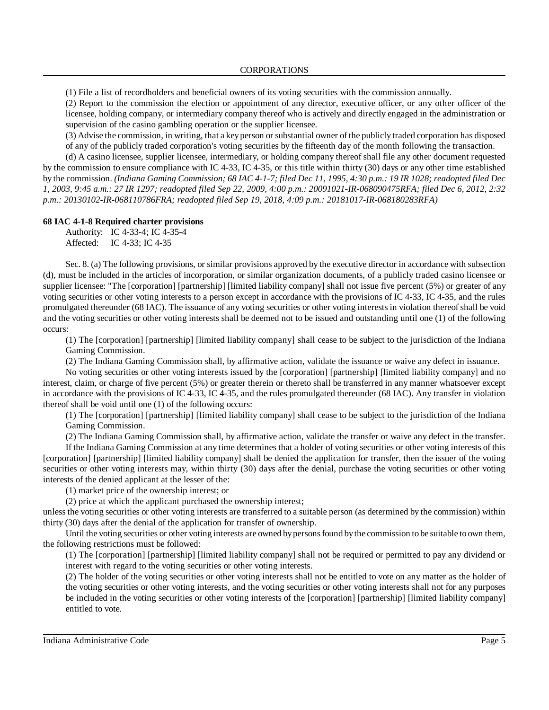(1) File a list of recordholders and beneficial owners of its voting securities with the commission annually.

(2) Report to the commission the election or appointment of any director, executive officer, or any other officer of the licensee, holding company, or intermediary company thereof who is actively and directly engaged in the administration or supervision of the casino gambling operation or the supplier licensee.

(3) Advise the commission, in writing, that a keyperson or substantial owner of the publicly traded corporation has disposed of any of the publicly traded corporation's voting securities by the fifteenth day of the month following the transaction.

(d) A casino licensee, supplier licensee, intermediary, or holding company thereof shall file any other document requested by the commission to ensure compliance with IC 4-33, IC 4-35, or this title within thirty (30) days or any other time established by the commission. (Indiana Gaming Commission; 68 IAC 4-1-7; filed Dec 11, 1995, 4:30 p.m.: 19 IR 1028; readopted filed Dec 1, 2003, 9:45 a.m.: 27 IR 1297; readopted filed Sep 22, 2009, 4:00 p.m.: 20091021-IR-068090475RFA; filed Dec 6, 2012, 2:32 *p.m.: 20130102-IR-068110786FRA; readopted filed Sep 19, 2018, 4:09 p.m.: 20181017-IR-068180283RFA)*

#### **68 IAC 4-1-8 Required charter provisions**

Authority: IC 4-33-4; IC 4-35-4 Affected: IC 4-33; IC 4-35

Sec. 8. (a) The following provisions, or similar provisions approved by the executive director in accordance with subsection (d), must be included in the articles of incorporation, or similar organization documents, of a publicly traded casino licensee or supplier licensee: "The [corporation] [partnership] [limited liability company] shall not issue five percent (5%) or greater of any voting securities or other voting interests to a person except in accordance with the provisions of IC 4-33, IC 4-35, and the rules promulgated thereunder (68 IAC). The issuance of any voting securities or other voting interests in violation thereofshall be void and the voting securities or other voting interests shall be deemed not to be issued and outstanding until one (1) of the following occurs:

(1) The [corporation] [partnership] [limited liability company] shall cease to be subject to the jurisdiction of the Indiana Gaming Commission.

(2) The Indiana Gaming Commission shall, by affirmative action, validate the issuance or waive any defect in issuance.

No voting securities or other voting interests issued by the [corporation] [partnership] [limited liability company] and no interest, claim, or charge of five percent (5%) or greater therein or thereto shall be transferred in any manner whatsoever except in accordance with the provisions of IC 4-33, IC 4-35, and the rules promulgated thereunder (68 IAC). Any transfer in violation thereof shall be void until one (1) of the following occurs:

(1) The [corporation] [partnership] [limited liability company] shall cease to be subject to the jurisdiction of the Indiana Gaming Commission.

(2) The Indiana Gaming Commission shall, by affirmative action, validate the transfer or waive any defect in the transfer.

If the Indiana Gaming Commission at any time determines that a holder of voting securities or other voting interests of this [corporation] [partnership] [limited liability company] shall be denied the application for transfer, then the issuer of the voting securities or other voting interests may, within thirty (30) days after the denial, purchase the voting securities or other voting interests of the denied applicant at the lesser of the:

(1) market price of the ownership interest; or

(2) price at which the applicant purchased the ownership interest;

unless the voting securities or other voting interests are transferred to a suitable person (as determined by the commission) within thirty (30) days after the denial of the application for transfer of ownership.

Until the voting securities or other voting interests are owned by persons found by the commission to be suitable to own them, the following restrictions must be followed:

(1) The [corporation] [partnership] [limited liability company] shall not be required or permitted to pay any dividend or interest with regard to the voting securities or other voting interests.

(2) The holder of the voting securities or other voting interests shall not be entitled to vote on any matter as the holder of the voting securities or other voting interests, and the voting securities or other voting interests shall not for any purposes be included in the voting securities or other voting interests of the [corporation] [partnership] [limited liability company] entitled to vote.